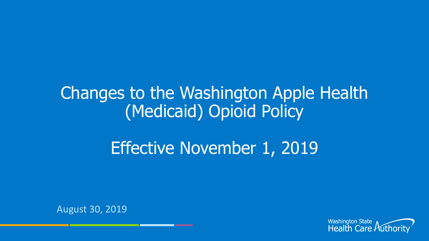### Changes to the Washington Apple Health (Medicaid) Opioid Policy

### Effective November 1, 2019

August 30, 2019

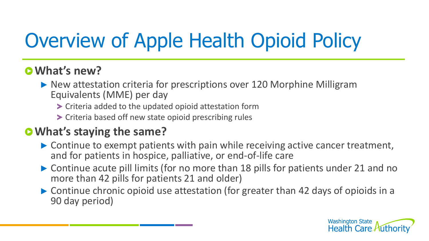# Overview of Apple Health Opioid Policy

### **What's new?**

- ▶ New attestation criteria for prescriptions over 120 Morphine Milligram Equivalents (MME) per day
	- Criteria added to the updated opioid attestation form
	- Criteria based off new state opioid prescribing rules

### **What's staying the same?**

- ▶ Continue to exempt patients with pain while receiving active cancer treatment, and for patients in hospice, palliative, or end-of-life care
- ▶ Continue acute pill limits (for no more than 18 pills for patients under 21 and no more than 42 pills for patients 21 and older)
- ▶ Continue chronic opioid use attestation (for greater than 42 days of opioids in a 90 day period)

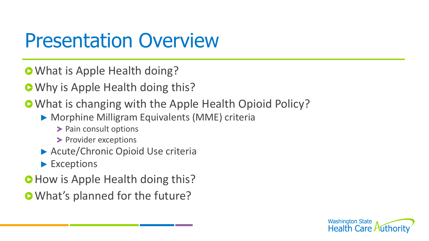## Presentation Overview

- **O** What is Apple Health doing?
- **O** Why is Apple Health doing this?
- What is changing with the Apple Health Opioid Policy?
	- Morphine Milligram Equivalents (MME) criteria
		- > Pain consult options
		- > Provider exceptions
	- Acute/Chronic Opioid Use criteria
	- **Exceptions**
- **O** How is Apple Health doing this?
- **O** What's planned for the future?

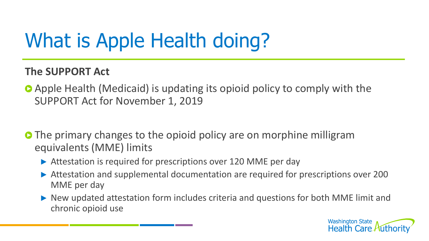# What is Apple Health doing?

#### **The SUPPORT Act**

- Apple Health (Medicaid) is updating its opioid policy to comply with the SUPPORT Act for November 1, 2019
- **O** The primary changes to the opioid policy are on morphine milligram equivalents (MME) limits
	- Attestation is required for prescriptions over 120 MME per day
	- Attestation and supplemental documentation are required for prescriptions over 200 MME per day
	- New updated attestation form includes criteria and questions for both MME limit and chronic opioid use

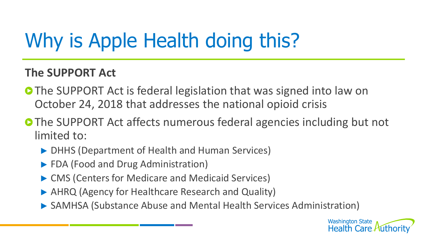# Why is Apple Health doing this?

#### **The SUPPORT Act**

- **The SUPPORT Act is federal legislation that was signed into law on** October 24, 2018 that addresses the national opioid crisis
- **O** The SUPPORT Act affects numerous federal agencies including but not limited to:
	- ▶ DHHS (Department of Health and Human Services)
	- ▶ FDA (Food and Drug Administration)
	- ▶ CMS (Centers for Medicare and Medicaid Services)
	- ▶ AHRQ (Agency for Healthcare Research and Quality)
	- SAMHSA (Substance Abuse and Mental Health Services Administration)

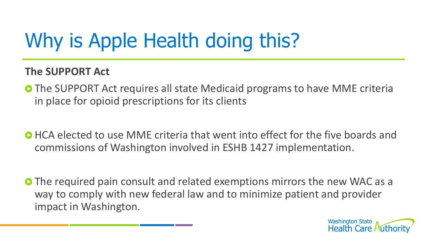# Why is Apple Health doing this?

#### **The SUPPORT Act**

- **O** The SUPPORT Act requires all state Medicaid programs to have MME criteria in place for opioid prescriptions for its clients
- **O** HCA elected to use MME criteria that went into effect for the five boards and commissions of Washington involved in ESHB 1427 implementation.
- **O** The required pain consult and related exemptions mirrors the new WAC as a way to comply with new federal law and to minimize patient and provider impact in Washington.

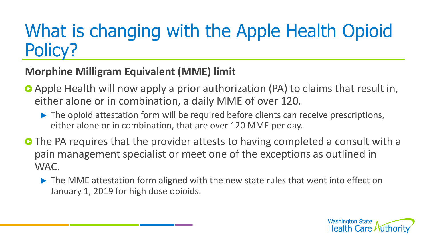#### **Morphine Milligram Equivalent (MME) limit**

- Apple Health will now apply a prior authorization (PA) to claims that result in, either alone or in combination, a daily MME of over 120.
	- ▶ The opioid attestation form will be required before clients can receive prescriptions, either alone or in combination, that are over 120 MME per day.
- **O** The PA requires that the provider attests to having completed a consult with a pain management specialist or meet one of the exceptions as outlined in WAC.
	- ▶ The MME attestation form aligned with the new state rules that went into effect on January 1, 2019 for high dose opioids.

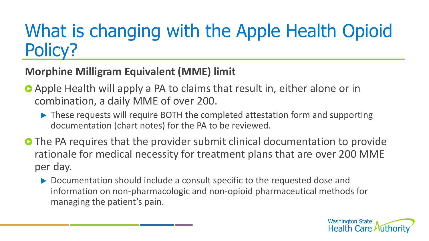#### **Morphine Milligram Equivalent (MME) limit**

- Apple Health will apply a PA to claims that result in, either alone or in combination, a daily MME of over 200.
	- ▶ These requests will require BOTH the completed attestation form and supporting documentation (chart notes) for the PA to be reviewed.
- **O** The PA requires that the provider submit clinical documentation to provide rationale for medical necessity for treatment plans that are over 200 MME per day.
	- Documentation should include a consult specific to the requested dose and information on non-pharmacologic and non-opioid pharmaceutical methods for managing the patient's pain.

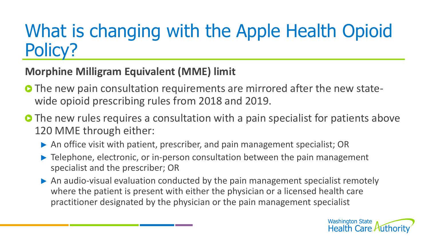#### **Morphine Milligram Equivalent (MME) limit**

- **O** The new pain consultation requirements are mirrored after the new statewide opioid prescribing rules from 2018 and 2019.
- **O** The new rules requires a consultation with a pain specialist for patients above 120 MME through either:
	- An office visit with patient, prescriber, and pain management specialist; OR
	- **Telephone, electronic, or in-person consultation between the pain management** specialist and the prescriber; OR
	- An audio-visual evaluation conducted by the pain management specialist remotely where the patient is present with either the physician or a licensed health care practitioner designated by the physician or the pain management specialist

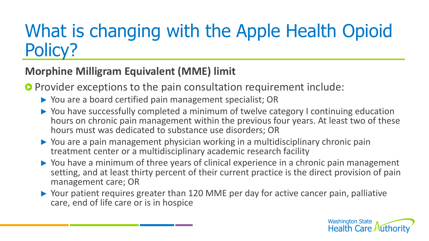#### **Morphine Milligram Equivalent (MME) limit**

**P** Provider exceptions to the pain consultation requirement include:

- ▶ You are a board certified pain management specialist; OR
- ▶ You have successfully completed a minimum of twelve category I continuing education hours on chronic pain management within the previous four years. At least two of these hours must was dedicated to substance use disorders; OR
- You are a pain management physician working in a multidisciplinary chronic pain treatment center or a multidisciplinary academic research facility
- ▶ You have a minimum of three years of clinical experience in a chronic pain management setting, and at least thirty percent of their current practice is the direct provision of pain management care; OR
- ▶ Your patient requires greater than 120 MME per day for active cancer pain, palliative care, end of life care or is in hospice

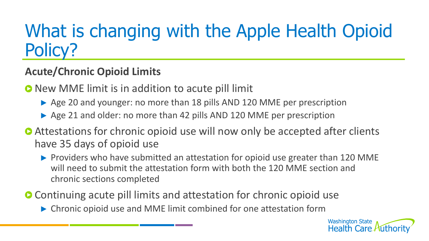#### **Acute/Chronic Opioid Limits**

**O** New MME limit is in addition to acute pill limit

- Age 20 and younger: no more than 18 pills AND 120 MME per prescription
- Age 21 and older: no more than 42 pills AND 120 MME per prescription
- **Attestations for chronic opioid use will now only be accepted after clients** have 35 days of opioid use
	- Providers who have submitted an attestation for opioid use greater than 120 MME will need to submit the attestation form with both the 120 MME section and chronic sections completed
- **O** Continuing acute pill limits and attestation for chronic opioid use
	- Chronic opioid use and MME limit combined for one attestation form

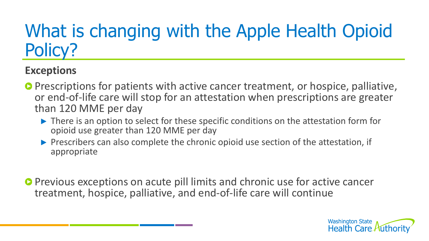### **Exceptions**

- **P** Prescriptions for patients with active cancer treatment, or hospice, palliative, or end-of-life care will stop for an attestation when prescriptions are greater than 120 MME per day
	- ▶ There is an option to select for these specific conditions on the attestation form for opioid use greater than 120 MME per day
	- **Prescribers can also complete the chronic opioid use section of the attestation, if** appropriate
- **P** Previous exceptions on acute pill limits and chronic use for active cancer treatment, hospice, palliative, and end-of-life care will continue

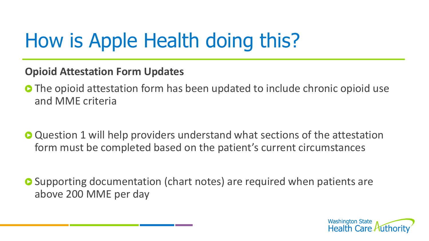## How is Apple Health doing this?

#### **Opioid Attestation Form Updates**

- **O** The opioid attestation form has been updated to include chronic opioid use and MME criteria
- **O** Question 1 will help providers understand what sections of the attestation form must be completed based on the patient's current circumstances
- **O** Supporting documentation (chart notes) are required when patients are above 200 MME per day

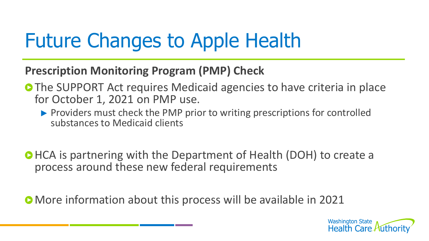## Future Changes to Apple Health

#### **Prescription Monitoring Program (PMP) Check**

- **O The SUPPORT Act requires Medicaid agencies to have criteria in place** for October 1, 2021 on PMP use.
	- **Providers must check the PMP prior to writing prescriptions for controlled** substances to Medicaid clients
- **OHCA is partnering with the Department of Health (DOH) to create a** process around these new federal requirements

**• More information about this process will be available in 2021**